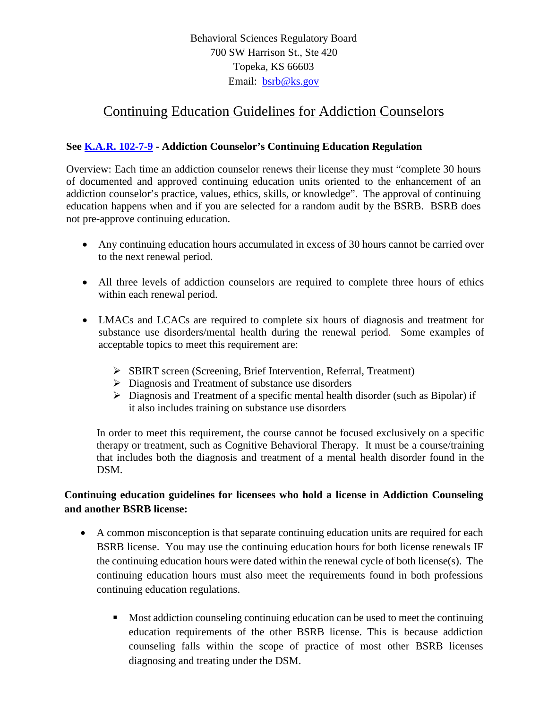Behavioral Sciences Regulatory Board 700 SW Harrison St., Ste 420 Topeka, KS 66603 Email: [bsrb@ks.gov](mailto:bsrb@ks.gov)

# Continuing Education Guidelines for Addiction Counselors

### **See [K.A.R. 102-7-9](https://ksbsrb.ks.gov/docs/default-source/regulations/addiction-counselors/102-7-9.pdf?sfvrsn=4) - Addiction Counselor's Continuing Education Regulation**

Overview: Each time an addiction counselor renews their license they must "complete 30 hours of documented and approved continuing education units oriented to the enhancement of an addiction counselor's practice, values, ethics, skills, or knowledge". The approval of continuing education happens when and if you are selected for a random audit by the BSRB. BSRB does not pre-approve continuing education.

- Any continuing education hours accumulated in excess of 30 hours cannot be carried over to the next renewal period.
- All three levels of addiction counselors are required to complete three hours of ethics within each renewal period.
- LMACs and LCACs are required to complete six hours of diagnosis and treatment for substance use disorders/mental health during the renewal period. Some examples of acceptable topics to meet this requirement are:
	- SBIRT screen (Screening, Brief Intervention, Referral, Treatment)
	- $\triangleright$  Diagnosis and Treatment of substance use disorders
	- $\triangleright$  Diagnosis and Treatment of a specific mental health disorder (such as Bipolar) if it also includes training on substance use disorders

In order to meet this requirement, the course cannot be focused exclusively on a specific therapy or treatment, such as Cognitive Behavioral Therapy. It must be a course/training that includes both the diagnosis and treatment of a mental health disorder found in the DSM.

## **Continuing education guidelines for licensees who hold a license in Addiction Counseling and another BSRB license:**

- A common misconception is that separate continuing education units are required for each BSRB license. You may use the continuing education hours for both license renewals IF the continuing education hours were dated within the renewal cycle of both license(s). The continuing education hours must also meet the requirements found in both professions continuing education regulations.
	- Most addiction counseling continuing education can be used to meet the continuing education requirements of the other BSRB license. This is because addiction counseling falls within the scope of practice of most other BSRB licenses diagnosing and treating under the DSM.